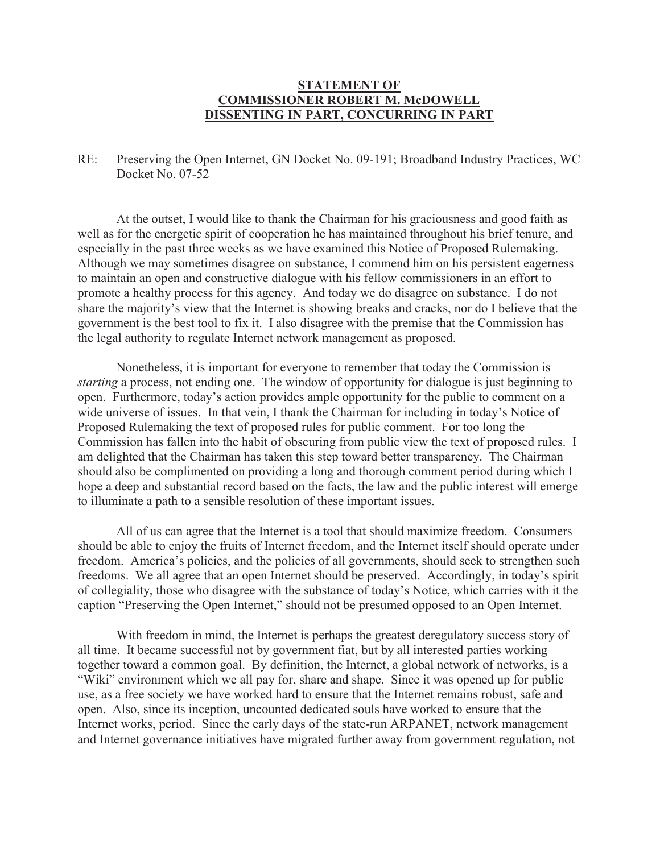## **STATEMENT OF COMMISSIONER ROBERT M. McDOWELL DISSENTING IN PART, CONCURRING IN PART**

RE: Preserving the Open Internet, GN Docket No. 09-191; Broadband Industry Practices, WC Docket No. 07-52

At the outset, I would like to thank the Chairman for his graciousness and good faith as well as for the energetic spirit of cooperation he has maintained throughout his brief tenure, and especially in the past three weeks as we have examined this Notice of Proposed Rulemaking. Although we may sometimes disagree on substance, I commend him on his persistent eagerness to maintain an open and constructive dialogue with his fellow commissioners in an effort to promote a healthy process for this agency. And today we do disagree on substance. I do not share the majority's view that the Internet is showing breaks and cracks, nor do I believe that the government is the best tool to fix it. I also disagree with the premise that the Commission has the legal authority to regulate Internet network management as proposed.

Nonetheless, it is important for everyone to remember that today the Commission is *starting* a process, not ending one. The window of opportunity for dialogue is just beginning to open. Furthermore, today's action provides ample opportunity for the public to comment on a wide universe of issues. In that vein, I thank the Chairman for including in today's Notice of Proposed Rulemaking the text of proposed rules for public comment. For too long the Commission has fallen into the habit of obscuring from public view the text of proposed rules. I am delighted that the Chairman has taken this step toward better transparency. The Chairman should also be complimented on providing a long and thorough comment period during which I hope a deep and substantial record based on the facts, the law and the public interest will emerge to illuminate a path to a sensible resolution of these important issues.

All of us can agree that the Internet is a tool that should maximize freedom. Consumers should be able to enjoy the fruits of Internet freedom, and the Internet itself should operate under freedom. America's policies, and the policies of all governments, should seek to strengthen such freedoms. We all agree that an open Internet should be preserved. Accordingly, in today's spirit of collegiality, those who disagree with the substance of today's Notice, which carries with it the caption "Preserving the Open Internet," should not be presumed opposed to an Open Internet.

With freedom in mind, the Internet is perhaps the greatest deregulatory success story of all time. It became successful not by government fiat, but by all interested parties working together toward a common goal. By definition, the Internet, a global network of networks, is a "Wiki" environment which we all pay for, share and shape. Since it was opened up for public use, as a free society we have worked hard to ensure that the Internet remains robust, safe and open. Also, since its inception, uncounted dedicated souls have worked to ensure that the Internet works, period. Since the early days of the state-run ARPANET, network management and Internet governance initiatives have migrated further away from government regulation, not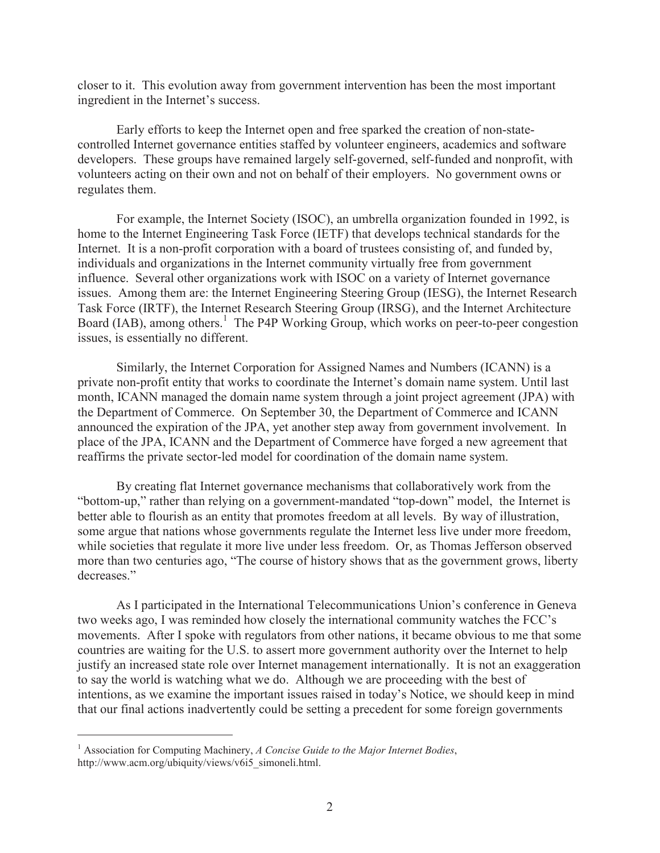closer to it. This evolution away from government intervention has been the most important ingredient in the Internet's success.

Early efforts to keep the Internet open and free sparked the creation of non-statecontrolled Internet governance entities staffed by volunteer engineers, academics and software developers. These groups have remained largely self-governed, self-funded and nonprofit, with volunteers acting on their own and not on behalf of their employers. No government owns or regulates them.

For example, the Internet Society (ISOC), an umbrella organization founded in 1992, is home to the Internet Engineering Task Force (IETF) that develops technical standards for the Internet. It is a non-profit corporation with a board of trustees consisting of, and funded by, individuals and organizations in the Internet community virtually free from government influence. Several other organizations work with ISOC on a variety of Internet governance issues. Among them are: the Internet Engineering Steering Group (IESG), the Internet Research Task Force (IRTF), the Internet Research Steering Group (IRSG), and the Internet Architecture Board (IAB), among others.<sup>1</sup> The P4P Working Group, which works on peer-to-peer congestion issues, is essentially no different.

Similarly, the Internet Corporation for Assigned Names and Numbers (ICANN) is a private non-profit entity that works to coordinate the Internet's domain name system. Until last month, ICANN managed the domain name system through a joint project agreement (JPA) with the Department of Commerce. On September 30, the Department of Commerce and ICANN announced the expiration of the JPA, yet another step away from government involvement. In place of the JPA, ICANN and the Department of Commerce have forged a new agreement that reaffirms the private sector-led model for coordination of the domain name system.

By creating flat Internet governance mechanisms that collaboratively work from the "bottom-up," rather than relying on a government-mandated "top-down" model, the Internet is better able to flourish as an entity that promotes freedom at all levels. By way of illustration, some argue that nations whose governments regulate the Internet less live under more freedom, while societies that regulate it more live under less freedom. Or, as Thomas Jefferson observed more than two centuries ago, "The course of history shows that as the government grows, liberty decreases."

As I participated in the International Telecommunications Union's conference in Geneva two weeks ago, I was reminded how closely the international community watches the FCC's movements. After I spoke with regulators from other nations, it became obvious to me that some countries are waiting for the U.S. to assert more government authority over the Internet to help justify an increased state role over Internet management internationally. It is not an exaggeration to say the world is watching what we do. Although we are proceeding with the best of intentions, as we examine the important issues raised in today's Notice, we should keep in mind that our final actions inadvertently could be setting a precedent for some foreign governments

<sup>1</sup> Association for Computing Machinery, *A Concise Guide to the Major Internet Bodies*, http://www.acm.org/ubiquity/views/v6i5\_simoneli.html.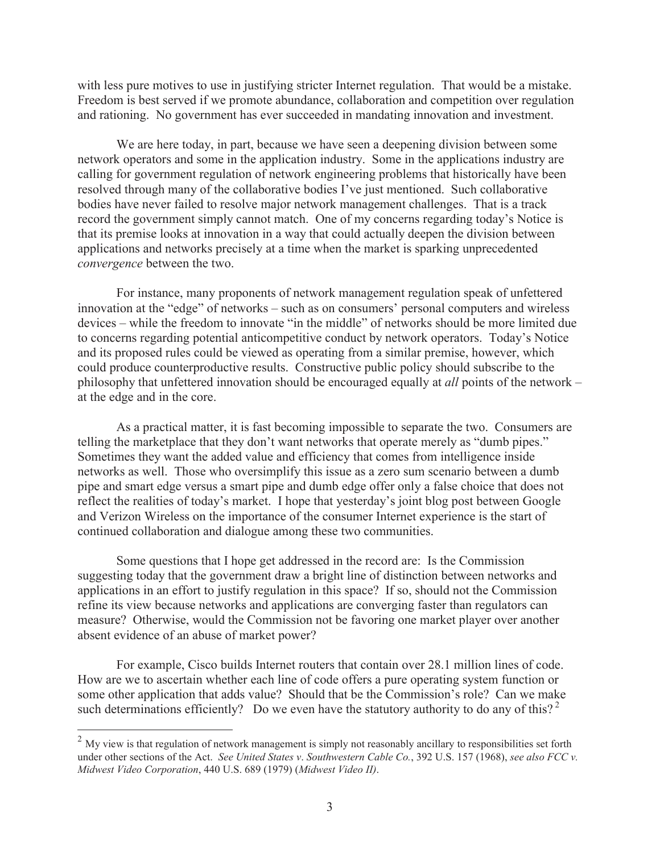with less pure motives to use in justifying stricter Internet regulation. That would be a mistake. Freedom is best served if we promote abundance, collaboration and competition over regulation and rationing. No government has ever succeeded in mandating innovation and investment.

We are here today, in part, because we have seen a deepening division between some network operators and some in the application industry. Some in the applications industry are calling for government regulation of network engineering problems that historically have been resolved through many of the collaborative bodies I've just mentioned. Such collaborative bodies have never failed to resolve major network management challenges. That is a track record the government simply cannot match. One of my concerns regarding today's Notice is that its premise looks at innovation in a way that could actually deepen the division between applications and networks precisely at a time when the market is sparking unprecedented *convergence* between the two.

For instance, many proponents of network management regulation speak of unfettered innovation at the "edge" of networks – such as on consumers' personal computers and wireless devices – while the freedom to innovate "in the middle" of networks should be more limited due to concerns regarding potential anticompetitive conduct by network operators. Today's Notice and its proposed rules could be viewed as operating from a similar premise, however, which could produce counterproductive results. Constructive public policy should subscribe to the philosophy that unfettered innovation should be encouraged equally at *all* points of the network – at the edge and in the core.

As a practical matter, it is fast becoming impossible to separate the two. Consumers are telling the marketplace that they don't want networks that operate merely as "dumb pipes." Sometimes they want the added value and efficiency that comes from intelligence inside networks as well. Those who oversimplify this issue as a zero sum scenario between a dumb pipe and smart edge versus a smart pipe and dumb edge offer only a false choice that does not reflect the realities of today's market. I hope that yesterday's joint blog post between Google and Verizon Wireless on the importance of the consumer Internet experience is the start of continued collaboration and dialogue among these two communities.

Some questions that I hope get addressed in the record are: Is the Commission suggesting today that the government draw a bright line of distinction between networks and applications in an effort to justify regulation in this space? If so, should not the Commission refine its view because networks and applications are converging faster than regulators can measure? Otherwise, would the Commission not be favoring one market player over another absent evidence of an abuse of market power?

For example, Cisco builds Internet routers that contain over 28.1 million lines of code. How are we to ascertain whether each line of code offers a pure operating system function or some other application that adds value? Should that be the Commission's role? Can we make such determinations efficiently? Do we even have the statutory authority to do any of this?<sup>2</sup>

 $2$  My view is that regulation of network management is simply not reasonably ancillary to responsibilities set forth under other sections of the Act. *See United States v*. *Southwestern Cable Co.*, 392 U.S. 157 (1968), *see also FCC v. Midwest Video Corporation*, 440 U.S. 689 (1979) (*Midwest Video II)*.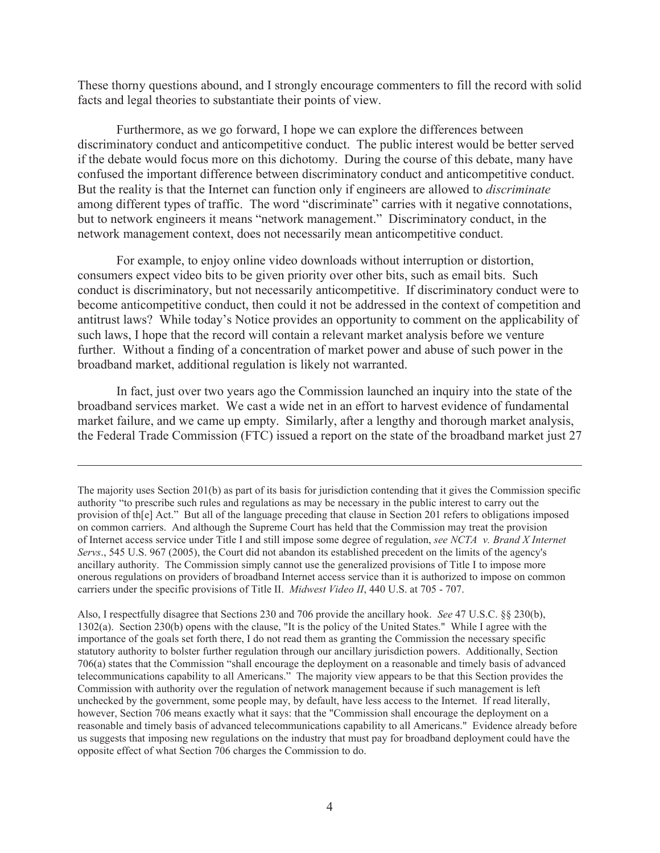These thorny questions abound, and I strongly encourage commenters to fill the record with solid facts and legal theories to substantiate their points of view.

Furthermore, as we go forward, I hope we can explore the differences between discriminatory conduct and anticompetitive conduct. The public interest would be better served if the debate would focus more on this dichotomy. During the course of this debate, many have confused the important difference between discriminatory conduct and anticompetitive conduct. But the reality is that the Internet can function only if engineers are allowed to *discriminate* among different types of traffic. The word "discriminate" carries with it negative connotations, but to network engineers it means "network management." Discriminatory conduct, in the network management context, does not necessarily mean anticompetitive conduct.

For example, to enjoy online video downloads without interruption or distortion, consumers expect video bits to be given priority over other bits, such as email bits. Such conduct is discriminatory, but not necessarily anticompetitive. If discriminatory conduct were to become anticompetitive conduct, then could it not be addressed in the context of competition and antitrust laws? While today's Notice provides an opportunity to comment on the applicability of such laws, I hope that the record will contain a relevant market analysis before we venture further. Without a finding of a concentration of market power and abuse of such power in the broadband market, additional regulation is likely not warranted.

In fact, just over two years ago the Commission launched an inquiry into the state of the broadband services market. We cast a wide net in an effort to harvest evidence of fundamental market failure, and we came up empty. Similarly, after a lengthy and thorough market analysis, the Federal Trade Commission (FTC) issued a report on the state of the broadband market just 27

Also, I respectfully disagree that Sections 230 and 706 provide the ancillary hook. *See* 47 U.S.C. §§ 230(b), 1302(a). Section 230(b) opens with the clause, "It is the policy of the United States." While I agree with the importance of the goals set forth there, I do not read them as granting the Commission the necessary specific statutory authority to bolster further regulation through our ancillary jurisdiction powers. Additionally, Section 706(a) states that the Commission "shall encourage the deployment on a reasonable and timely basis of advanced telecommunications capability to all Americans." The majority view appears to be that this Section provides the Commission with authority over the regulation of network management because if such management is left unchecked by the government, some people may, by default, have less access to the Internet. If read literally, however, Section 706 means exactly what it says: that the "Commission shall encourage the deployment on a reasonable and timely basis of advanced telecommunications capability to all Americans." Evidence already before us suggests that imposing new regulations on the industry that must pay for broadband deployment could have the opposite effect of what Section 706 charges the Commission to do.

The majority uses Section 201(b) as part of its basis for jurisdiction contending that it gives the Commission specific authority "to prescribe such rules and regulations as may be necessary in the public interest to carry out the provision of th[e] Act." But all of the language preceding that clause in Section 201 refers to obligations imposed on common carriers. And although the Supreme Court has held that the Commission may treat the provision of Internet access service under Title I and still impose some degree of regulation, *see NCTA v. Brand X Internet Servs*., 545 U.S. 967 (2005), the Court did not abandon its established precedent on the limits of the agency's ancillary authority. The Commission simply cannot use the generalized provisions of Title I to impose more onerous regulations on providers of broadband Internet access service than it is authorized to impose on common carriers under the specific provisions of Title II. *Midwest Video II*, 440 U.S. at 705 - 707.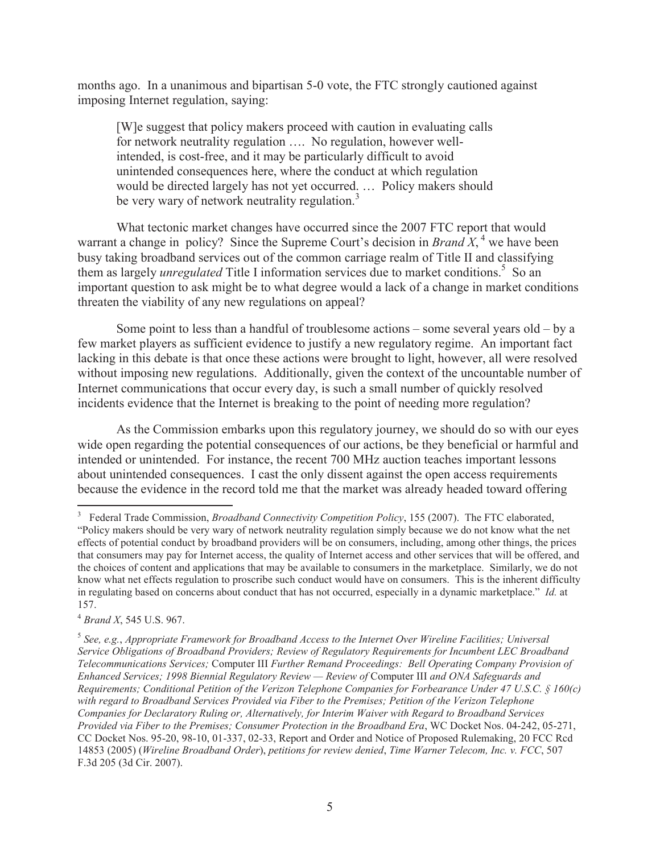months ago. In a unanimous and bipartisan 5-0 vote, the FTC strongly cautioned against imposing Internet regulation, saying:

[W]e suggest that policy makers proceed with caution in evaluating calls for network neutrality regulation …. No regulation, however wellintended, is cost-free, and it may be particularly difficult to avoid unintended consequences here, where the conduct at which regulation would be directed largely has not yet occurred. … Policy makers should be very wary of network neutrality regulation.<sup>3</sup>

What tectonic market changes have occurred since the 2007 FTC report that would warrant a change in policy? Since the Supreme Court's decision in *Brand*  $X$ , <sup>4</sup> we have been busy taking broadband services out of the common carriage realm of Title II and classifying them as largely *unregulated* Title I information services due to market conditions.<sup>5</sup> So an important question to ask might be to what degree would a lack of a change in market conditions threaten the viability of any new regulations on appeal?

Some point to less than a handful of troublesome actions – some several years old – by a few market players as sufficient evidence to justify a new regulatory regime. An important fact lacking in this debate is that once these actions were brought to light, however, all were resolved without imposing new regulations. Additionally, given the context of the uncountable number of Internet communications that occur every day, is such a small number of quickly resolved incidents evidence that the Internet is breaking to the point of needing more regulation?

As the Commission embarks upon this regulatory journey, we should do so with our eyes wide open regarding the potential consequences of our actions, be they beneficial or harmful and intended or unintended. For instance, the recent 700 MHz auction teaches important lessons about unintended consequences. I cast the only dissent against the open access requirements because the evidence in the record told me that the market was already headed toward offering

<sup>4</sup> *Brand X*, 545 U.S. 967.

<sup>&</sup>lt;sup>3</sup> Federal Trade Commission, *Broadband Connectivity Competition Policy*, 155 (2007). The FTC elaborated, "Policy makers should be very wary of network neutrality regulation simply because we do not know what the net effects of potential conduct by broadband providers will be on consumers, including, among other things, the prices that consumers may pay for Internet access, the quality of Internet access and other services that will be offered, and the choices of content and applications that may be available to consumers in the marketplace. Similarly, we do not know what net effects regulation to proscribe such conduct would have on consumers. This is the inherent difficulty in regulating based on concerns about conduct that has not occurred, especially in a dynamic marketplace." *Id.* at 157.

<sup>5</sup> *See, e.g.*, *Appropriate Framework for Broadband Access to the Internet Over Wireline Facilities; Universal Service Obligations of Broadband Providers; Review of Regulatory Requirements for Incumbent LEC Broadband Telecommunications Services;* Computer III *Further Remand Proceedings: Bell Operating Company Provision of Enhanced Services; 1998 Biennial Regulatory Review — Review of* Computer III *and ONA Safeguards and Requirements; Conditional Petition of the Verizon Telephone Companies for Forbearance Under 47 U.S.C. § 160(c) with regard to Broadband Services Provided via Fiber to the Premises; Petition of the Verizon Telephone Companies for Declaratory Ruling or, Alternatively, for Interim Waiver with Regard to Broadband Services Provided via Fiber to the Premises; Consumer Protection in the Broadband Era*, WC Docket Nos. 04-242, 05-271, CC Docket Nos. 95-20, 98-10, 01-337, 02-33, Report and Order and Notice of Proposed Rulemaking, 20 FCC Rcd 14853 (2005) (*Wireline Broadband Order*), *petitions for review denied*, *Time Warner Telecom, Inc. v. FCC*, 507 F.3d 205 (3d Cir. 2007).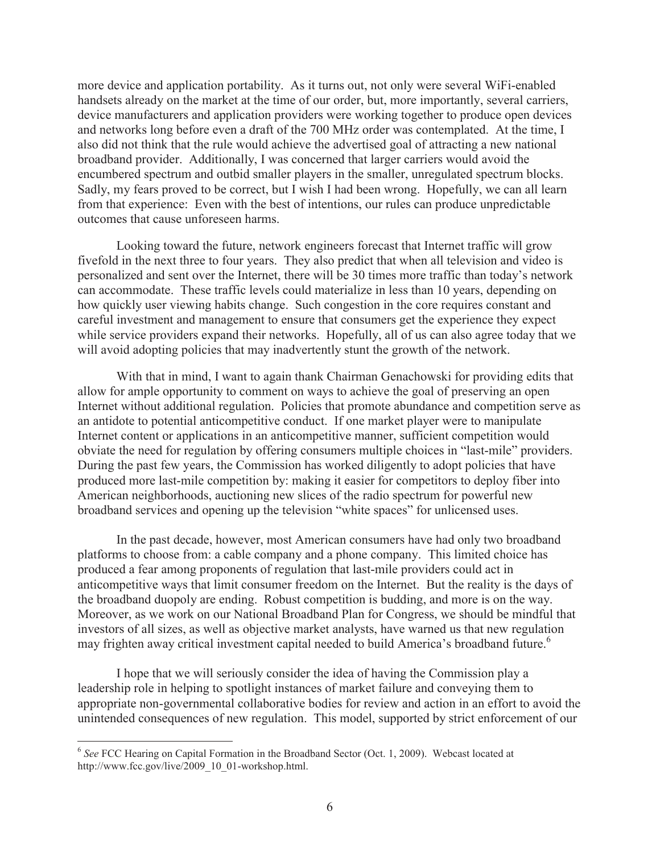more device and application portability. As it turns out, not only were several WiFi-enabled handsets already on the market at the time of our order, but, more importantly, several carriers, device manufacturers and application providers were working together to produce open devices and networks long before even a draft of the 700 MHz order was contemplated. At the time, I also did not think that the rule would achieve the advertised goal of attracting a new national broadband provider. Additionally, I was concerned that larger carriers would avoid the encumbered spectrum and outbid smaller players in the smaller, unregulated spectrum blocks. Sadly, my fears proved to be correct, but I wish I had been wrong. Hopefully, we can all learn from that experience: Even with the best of intentions, our rules can produce unpredictable outcomes that cause unforeseen harms.

Looking toward the future, network engineers forecast that Internet traffic will grow fivefold in the next three to four years. They also predict that when all television and video is personalized and sent over the Internet, there will be 30 times more traffic than today's network can accommodate. These traffic levels could materialize in less than 10 years, depending on how quickly user viewing habits change. Such congestion in the core requires constant and careful investment and management to ensure that consumers get the experience they expect while service providers expand their networks. Hopefully, all of us can also agree today that we will avoid adopting policies that may inadvertently stunt the growth of the network.

With that in mind, I want to again thank Chairman Genachowski for providing edits that allow for ample opportunity to comment on ways to achieve the goal of preserving an open Internet without additional regulation. Policies that promote abundance and competition serve as an antidote to potential anticompetitive conduct. If one market player were to manipulate Internet content or applications in an anticompetitive manner, sufficient competition would obviate the need for regulation by offering consumers multiple choices in "last-mile" providers. During the past few years, the Commission has worked diligently to adopt policies that have produced more last-mile competition by: making it easier for competitors to deploy fiber into American neighborhoods, auctioning new slices of the radio spectrum for powerful new broadband services and opening up the television "white spaces" for unlicensed uses.

In the past decade, however, most American consumers have had only two broadband platforms to choose from: a cable company and a phone company. This limited choice has produced a fear among proponents of regulation that last-mile providers could act in anticompetitive ways that limit consumer freedom on the Internet. But the reality is the days of the broadband duopoly are ending. Robust competition is budding, and more is on the way. Moreover, as we work on our National Broadband Plan for Congress, we should be mindful that investors of all sizes, as well as objective market analysts, have warned us that new regulation may frighten away critical investment capital needed to build America's broadband future.<sup>6</sup>

I hope that we will seriously consider the idea of having the Commission play a leadership role in helping to spotlight instances of market failure and conveying them to appropriate non-governmental collaborative bodies for review and action in an effort to avoid the unintended consequences of new regulation. This model, supported by strict enforcement of our

<sup>&</sup>lt;sup>6</sup> See FCC Hearing on Capital Formation in the Broadband Sector (Oct. 1, 2009). Webcast located at http://www.fcc.gov/live/2009\_10\_01-workshop.html.